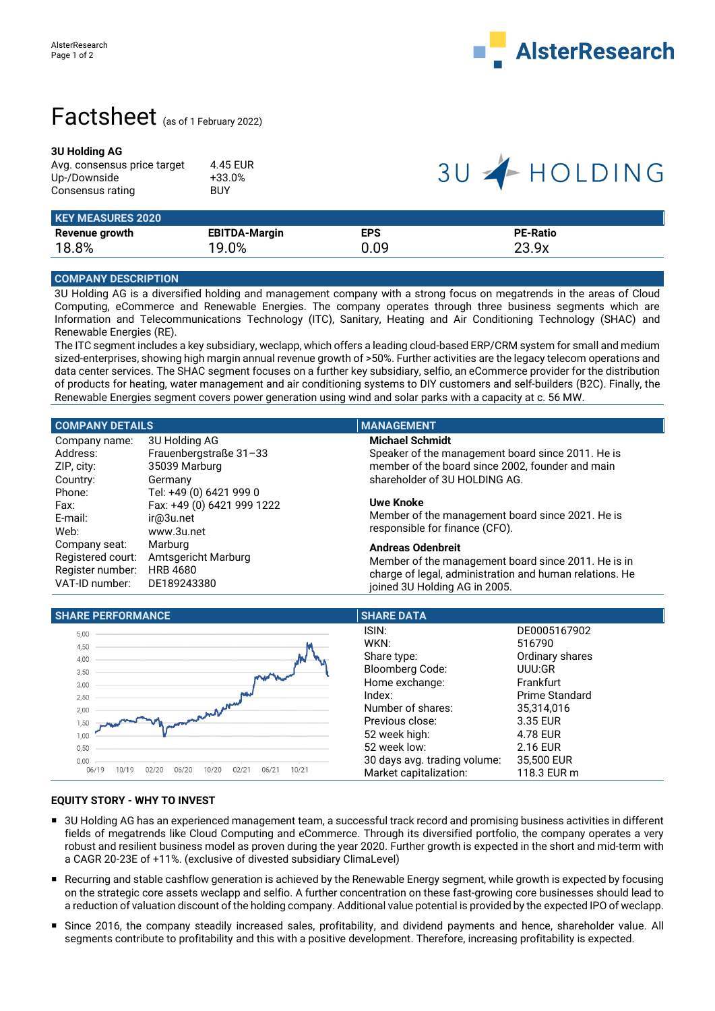

## Factsheet (as of 1 February 2022)

### **3U Holding AG**

| Avg. consensus price target | 4.45 EUR   |
|-----------------------------|------------|
| Up-/Downside                | $+33.0%$   |
| Consensus rating            | <b>BUY</b> |

# 3U +HOLDING

| <b>KEY MEASURES 2020</b> |                      |            |                 |  |
|--------------------------|----------------------|------------|-----------------|--|
| Revenue growth           | <b>EBITDA-Margin</b> | <b>EPS</b> | <b>PE-Ratio</b> |  |
| 18.8%                    | 19.0%                | 0.09       | 23.9x           |  |

## **COMPANY DESCRIPTION**

3U Holding AG is a diversified holding and management company with a strong focus on megatrends in the areas of Cloud Computing, eCommerce and Renewable Energies. The company operates through three business segments which are Information and Telecommunications Technology (ITC), Sanitary, Heating and Air Conditioning Technology (SHAC) and Renewable Energies (RE).

The ITC segment includes a key subsidiary, weclapp, which offers a leading cloud-based ERP/CRM system for small and medium sized-enterprises, showing high margin annual revenue growth of >50%. Further activities are the legacy telecom operations and data center services. The SHAC segment focuses on a further key subsidiary, selfio, an eCommerce provider for the distribution of products for heating, water management and air conditioning systems to DIY customers and self-builders (B2C). Finally, the Renewable Energies segment covers power generation using wind and solar parks with a capacity at c. 56 MW.

| <b>COMPANY DETAILS</b>     | <b>MANAGEMENT</b>                                       |
|----------------------------|---------------------------------------------------------|
| 3U Holding AG              | <b>Michael Schmidt</b>                                  |
| Frauenbergstraße 31-33     | Speaker of the management board since 2011. He is       |
| 35039 Marburg              | member of the board since 2002, founder and main        |
| Germany                    | shareholder of 3U HOLDING AG.                           |
| Tel: +49 (0) 6421 999 0    |                                                         |
| Fax: +49 (0) 6421 999 1222 | <b>Uwe Knoke</b>                                        |
| ir@3u.net                  | Member of the management board since 2021. He is        |
| www.3u.net                 | responsible for finance (CFO).                          |
| Marburg                    | <b>Andreas Odenbreit</b>                                |
| Amtsgericht Marburg        | Member of the management board since 2011. He is in     |
| <b>HRB 4680</b>            | charge of legal, administration and human relations. He |
| DE189243380                | joined 3U Holding AG in 2005.                           |
|                            |                                                         |



### **EQUITY STORY - WHY TO INVEST**

- 3U Holding AG has an experienced management team, a successful track record and promising business activities in different fields of megatrends like Cloud Computing and eCommerce. Through its diversified portfolio, the company operates a very robust and resilient business model as proven during the year 2020. Further growth is expected in the short and mid-term with a CAGR 20-23E of +11%. (exclusive of divested subsidiary ClimaLevel)
- Recurring and stable cashflow generation is achieved by the Renewable Energy segment, while growth is expected by focusing on the strategic core assets weclapp and selfio. A further concentration on these fast-growing core businesses should lead to a reduction of valuation discount of the holding company. Additional value potential is provided by the expected IPO of weclapp.
- Since 2016, the company steadily increased sales, profitability, and dividend payments and hence, shareholder value. All segments contribute to profitability and this with a positive development. Therefore, increasing profitability is expected.